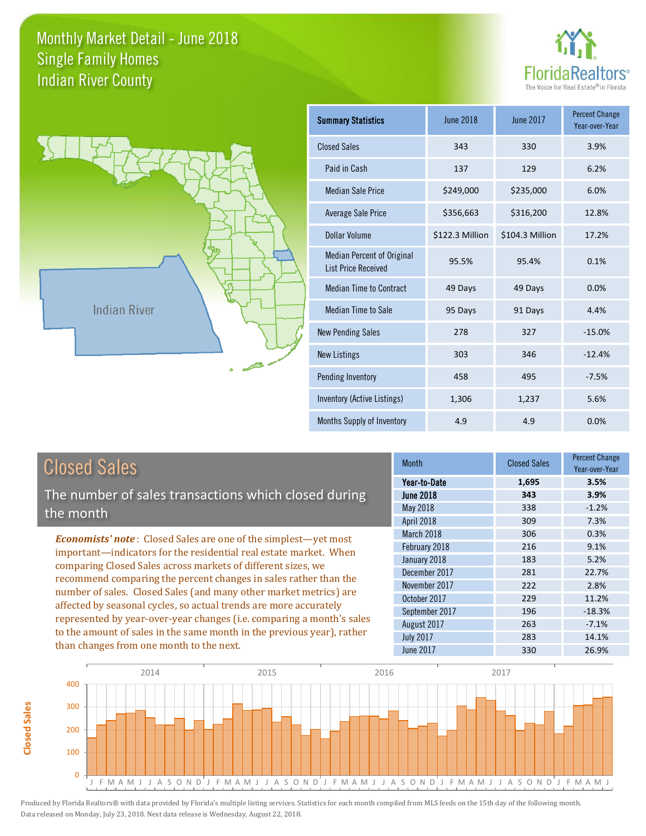



| <b>Summary Statistics</b>                                       | June 2018       | June 2017       | <b>Percent Change</b><br>Year-over-Year |
|-----------------------------------------------------------------|-----------------|-----------------|-----------------------------------------|
| <b>Closed Sales</b>                                             | 343             | 330             | 3.9%                                    |
| Paid in Cash                                                    | 137             | 129             | 6.2%                                    |
| <b>Median Sale Price</b>                                        | \$249,000       | \$235,000       | 6.0%                                    |
| <b>Average Sale Price</b>                                       | \$356,663       | \$316,200       | 12.8%                                   |
| Dollar Volume                                                   | \$122.3 Million | \$104.3 Million | 17.2%                                   |
| <b>Median Percent of Original</b><br><b>List Price Received</b> | 95.5%           | 95.4%           | 0.1%                                    |
| <b>Median Time to Contract</b>                                  | 49 Days         | 49 Days         | 0.0%                                    |
| <b>Median Time to Sale</b>                                      | 95 Days         | 91 Days         | 4.4%                                    |
| <b>New Pending Sales</b>                                        | 278             | 327             | $-15.0%$                                |
| <b>New Listings</b>                                             | 303             | 346             | $-12.4%$                                |
| Pending Inventory                                               | 458             | 495             | $-7.5%$                                 |
| Inventory (Active Listings)                                     | 1,306           | 1,237           | 5.6%                                    |
| Months Supply of Inventory                                      | 4.9             | 4.9             | 0.0%                                    |

**Closed Sales**

Closed Sales

The number of sales transactions which closed during the month

*Economists' note* : Closed Sales are one of the simplest—yet most important—indicators for the residential real estate market. When comparing Closed Sales across markets of different sizes, we recommend comparing the percent changes in sales rather than the number of sales. Closed Sales (and many other market metrics) are affected by seasonal cycles, so actual trends are more accurately represented by year-over-year changes (i.e. comparing a month's sales to the amount of sales in the same month in the previous year), rather than changes from one month to the next.

| <b>Month</b>     | <b>Closed Sales</b> | <b>Percent Change</b><br>Year-over-Year |
|------------------|---------------------|-----------------------------------------|
| Year-to-Date     | 1,695               | 3.5%                                    |
| <b>June 2018</b> | 343                 | 3.9%                                    |
| May 2018         | 338                 | $-1.2%$                                 |
| April 2018       | 309                 | 7.3%                                    |
| March 2018       | 306                 | 0.3%                                    |
| February 2018    | 216                 | 9.1%                                    |
| January 2018     | 183                 | 5.2%                                    |
| December 2017    | 281                 | 22.7%                                   |
| November 2017    | 222                 | 2.8%                                    |
| October 2017     | 229                 | 11.2%                                   |
| September 2017   | 196                 | $-18.3%$                                |
| August 2017      | 263                 | $-7.1%$                                 |
| <b>July 2017</b> | 283                 | 14.1%                                   |
| <b>June 2017</b> | 330                 | 26.9%                                   |

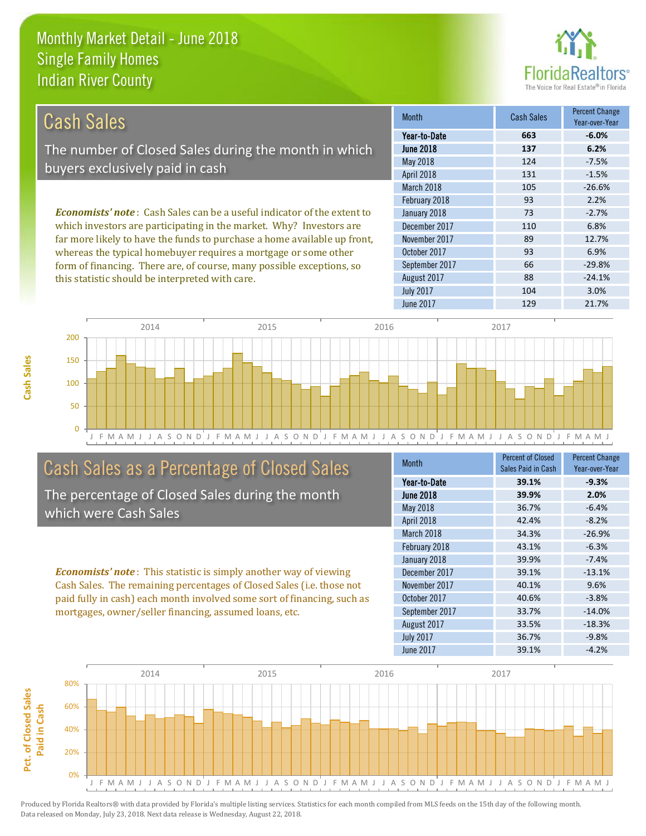this statistic should be interpreted with care.



88 -24.1%

| Cash Sales                                                                     | <b>Month</b>      | <b>Cash Sales</b> | <b>Percent Change</b><br>Year-over-Year |
|--------------------------------------------------------------------------------|-------------------|-------------------|-----------------------------------------|
|                                                                                | Year-to-Date      | 663               | $-6.0%$                                 |
| The number of Closed Sales during the month in which                           | <b>June 2018</b>  | 137               | 6.2%                                    |
|                                                                                | May 2018          | 124               | $-7.5%$                                 |
| buyers exclusively paid in cash                                                | <b>April 2018</b> | 131               | $-1.5%$                                 |
|                                                                                | March 2018        | 105               | $-26.6%$                                |
|                                                                                | February 2018     | 93                | 2.2%                                    |
| <b>Economists' note:</b> Cash Sales can be a useful indicator of the extent to | January 2018      | 73                | $-2.7%$                                 |
| which investors are participating in the market. Why? Investors are            | December 2017     | 110               | 6.8%                                    |
| far more likely to have the funds to purchase a home available up front,       | November 2017     | 89                | 12.7%                                   |
| whereas the typical homebuyer requires a mortgage or some other                | October 2017      | 93                | 6.9%                                    |
| form of financing. There are, of course, many possible exceptions, so          | September 2017    | 66                | $-29.8%$                                |

August 2017



# Cash Sales as a Percentage of Closed Sales

The percentage of Closed Sales during the month which were Cash Sales

*Economists' note* : This statistic is simply another way of viewing Cash Sales. The remaining percentages of Closed Sales (i.e. those not paid fully in cash) each month involved some sort of financing, such as mortgages, owner/seller financing, assumed loans, etc.

| <b>Month</b>      | <b>Percent of Closed</b> | <b>Percent Change</b> |
|-------------------|--------------------------|-----------------------|
|                   | Sales Paid in Cash       | Year-over-Year        |
| Year-to-Date      | 39.1%                    | $-9.3%$               |
| <b>June 2018</b>  | 39.9%                    | 2.0%                  |
| May 2018          | 36.7%                    | $-6.4%$               |
| <b>April 2018</b> | 42.4%                    | $-8.2%$               |
| March 2018        | 34.3%                    | $-26.9%$              |
| February 2018     | 43.1%                    | $-6.3%$               |
| January 2018      | 39.9%                    | $-7.4%$               |
| December 2017     | 39.1%                    | $-13.1%$              |
| November 2017     | 40.1%                    | 9.6%                  |
| October 2017      | 40.6%                    | $-3.8%$               |
| September 2017    | 33.7%                    | $-14.0%$              |
| August 2017       | 33.5%                    | $-18.3%$              |
| <b>July 2017</b>  | 36.7%                    | $-9.8%$               |
| <b>June 2017</b>  | 39.1%                    | $-4.2%$               |

July 2017 **104** 3.0%

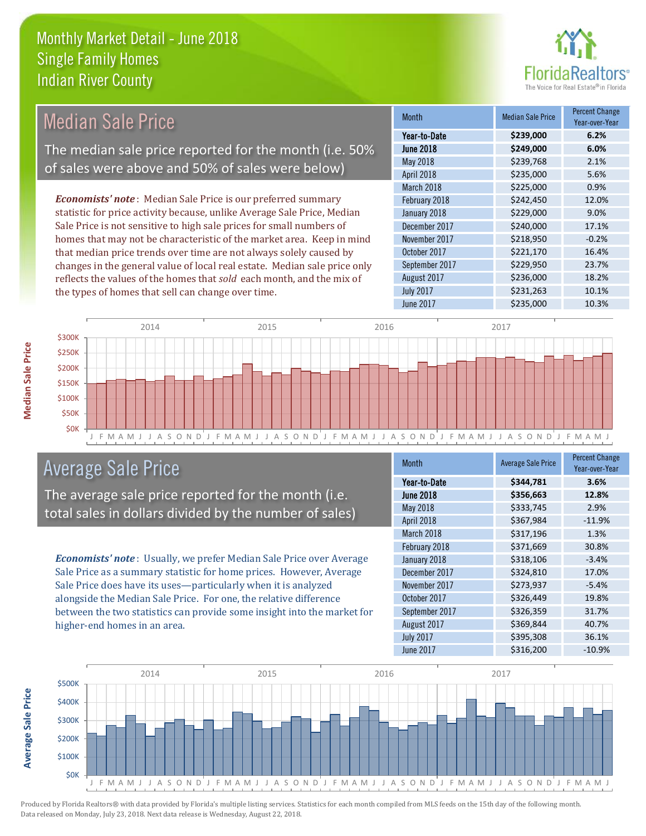

| <b>Median Sale Price</b>                                                  | <b>Month</b>     | <b>Median Sale Price</b> | <b>Percent Change</b><br>Year-over-Year |
|---------------------------------------------------------------------------|------------------|--------------------------|-----------------------------------------|
|                                                                           | Year-to-Date     | \$239,000                | 6.2%                                    |
| The median sale price reported for the month (i.e. 50%                    | <b>June 2018</b> | \$249,000                | 6.0%                                    |
| of sales were above and 50% of sales were below)                          | May 2018         | \$239,768                | 2.1%                                    |
|                                                                           | April 2018       | \$235,000                | 5.6%                                    |
|                                                                           | March 2018       | \$225,000                | 0.9%                                    |
| <b>Economists' note</b> : Median Sale Price is our preferred summary      | February 2018    | \$242,450                | 12.0%                                   |
| statistic for price activity because, unlike Average Sale Price, Median   | January 2018     | \$229,000                | 9.0%                                    |
| Sale Price is not sensitive to high sale prices for small numbers of      | December 2017    | \$240,000                | 17.1%                                   |
| homes that may not be characteristic of the market area. Keep in mind     | November 2017    | \$218,950                | $-0.2%$                                 |
| that median price trends over time are not always solely caused by        | October 2017     | \$221,170                | 16.4%                                   |
| changes in the general value of local real estate. Median sale price only | September 2017   | \$229,950                | 23.7%                                   |
| reflects the values of the homes that sold each month, and the mix of     | August 2017      | \$236,000                | 18.2%                                   |
| the types of homes that sell can change over time.                        | <b>July 2017</b> | \$231,263                | 10.1%                                   |
|                                                                           | June 2017        | \$235,000                | 10.3%                                   |



# Average Sale Price

The average sale price reported for the month (i.e. total sales in dollars divided by the number of sales)

*Economists' note* : Usually, we prefer Median Sale Price over Average Sale Price as a summary statistic for home prices. However, Average Sale Price does have its uses—particularly when it is analyzed alongside the Median Sale Price. For one, the relative difference between the two statistics can provide some insight into the market for higher-end homes in an area.

| <b>Month</b>     | <b>Average Sale Price</b> | <b>Percent Change</b><br>Year-over-Year |
|------------------|---------------------------|-----------------------------------------|
| Year-to-Date     | \$344,781                 | 3.6%                                    |
| <b>June 2018</b> | \$356,663                 | 12.8%                                   |
| May 2018         | \$333,745                 | 2.9%                                    |
| April 2018       | \$367,984                 | $-11.9%$                                |
| March 2018       | \$317,196                 | 1.3%                                    |
| February 2018    | \$371,669                 | 30.8%                                   |
| January 2018     | \$318,106                 | $-3.4%$                                 |
| December 2017    | \$324,810                 | 17.0%                                   |
| November 2017    | \$273,937                 | $-5.4%$                                 |
| October 2017     | \$326,449                 | 19.8%                                   |
| September 2017   | \$326,359                 | 31.7%                                   |
| August 2017      | \$369,844                 | 40.7%                                   |
| <b>July 2017</b> | \$395,308                 | 36.1%                                   |
| <b>June 2017</b> | \$316,200                 | $-10.9%$                                |



Produced by Florida Realtors® with data provided by Florida's multiple listing services. Statistics for each month compiled from MLS feeds on the 15th day of the following month. Data released on Monday, July 23, 2018. Next data release is Wednesday, August 22, 2018.

**Average Sale Price**

**Average Sale Price**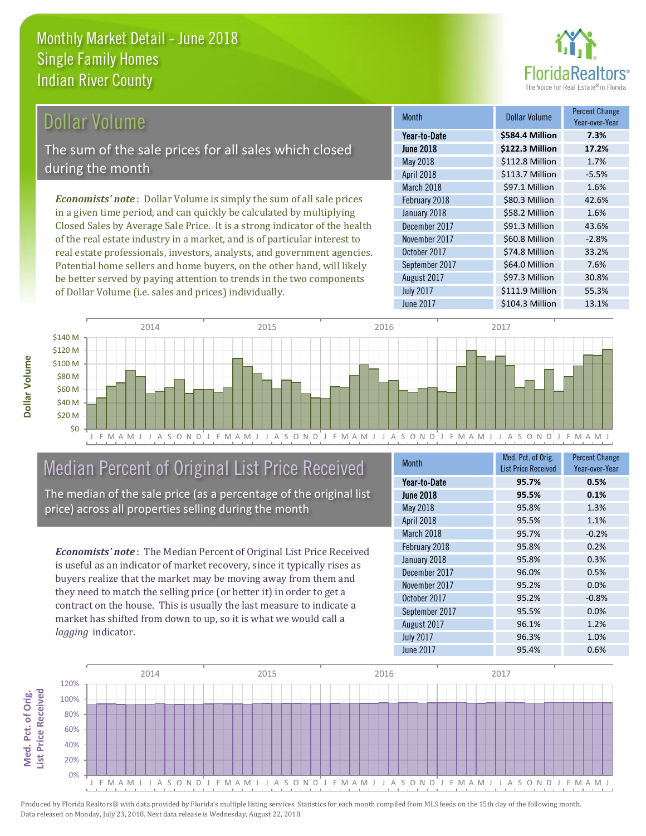

### Dollar Volume

The sum of the sale prices for all sales which closed during the month

*Economists' note* : Dollar Volume is simply the sum of all sale prices in a given time period, and can quickly be calculated by multiplying Closed Sales by Average Sale Price. It is a strong indicator of the health of the real estate industry in a market, and is of particular interest to real estate professionals, investors, analysts, and government agencies. Potential home sellers and home buyers, on the other hand, will likely be better served by paying attention to trends in the two components of Dollar Volume (i.e. sales and prices) individually.

| <b>Month</b>     | Dollar Volume   | <b>Percent Change</b><br>Year-over-Year |
|------------------|-----------------|-----------------------------------------|
| Year-to-Date     | \$584.4 Million | 7.3%                                    |
| <b>June 2018</b> | \$122.3 Million | 17.2%                                   |
| May 2018         | \$112.8 Million | 1.7%                                    |
| April 2018       | \$113.7 Million | $-5.5%$                                 |
| March 2018       | \$97.1 Million  | 1.6%                                    |
| February 2018    | \$80.3 Million  | 42.6%                                   |
| January 2018     | \$58.2 Million  | 1.6%                                    |
| December 2017    | \$91.3 Million  | 43.6%                                   |
| November 2017    | \$60.8 Million  | $-2.8%$                                 |
| October 2017     | \$74.8 Million  | 33.2%                                   |
| September 2017   | \$64.0 Million  | 7.6%                                    |
| August 2017      | \$97.3 Million  | 30.8%                                   |
| <b>July 2017</b> | \$111.9 Million | 55.3%                                   |
| June 2017        | \$104.3 Million | 13.1%                                   |



# Median Percent of Original List Price Received

The median of the sale price (as a percentage of the original list price) across all properties selling during the month

*Economists' note* : The Median Percent of Original List Price Received is useful as an indicator of market recovery, since it typically rises as buyers realize that the market may be moving away from them and they need to match the selling price (or better it) in order to get a contract on the house. This is usually the last measure to indicate a market has shifted from down to up, so it is what we would call a *lagging* indicator.

| <b>Month</b>     | Med. Pct. of Orig.         | <b>Percent Change</b> |
|------------------|----------------------------|-----------------------|
|                  | <b>List Price Received</b> | Year-over-Year        |
| Year-to-Date     | 95.7%                      | 0.5%                  |
| <b>June 2018</b> | 95.5%                      | 0.1%                  |
| May 2018         | 95.8%                      | 1.3%                  |
| April 2018       | 95.5%                      | 1.1%                  |
| March 2018       | 95.7%                      | $-0.2%$               |
| February 2018    | 95.8%                      | 0.2%                  |
| January 2018     | 95.8%                      | 0.3%                  |
| December 2017    | 96.0%                      | 0.5%                  |
| November 2017    | 95.2%                      | 0.0%                  |
| October 2017     | 95.2%                      | $-0.8%$               |
| September 2017   | 95.5%                      | 0.0%                  |
| August 2017      | 96.1%                      | 1.2%                  |
| <b>July 2017</b> | 96.3%                      | 1.0%                  |
| <b>June 2017</b> | 95.4%                      | 0.6%                  |



**Dollar Volume**

**Med. Pct. of Orig. ist Price Received** Med. Pct. of Orig.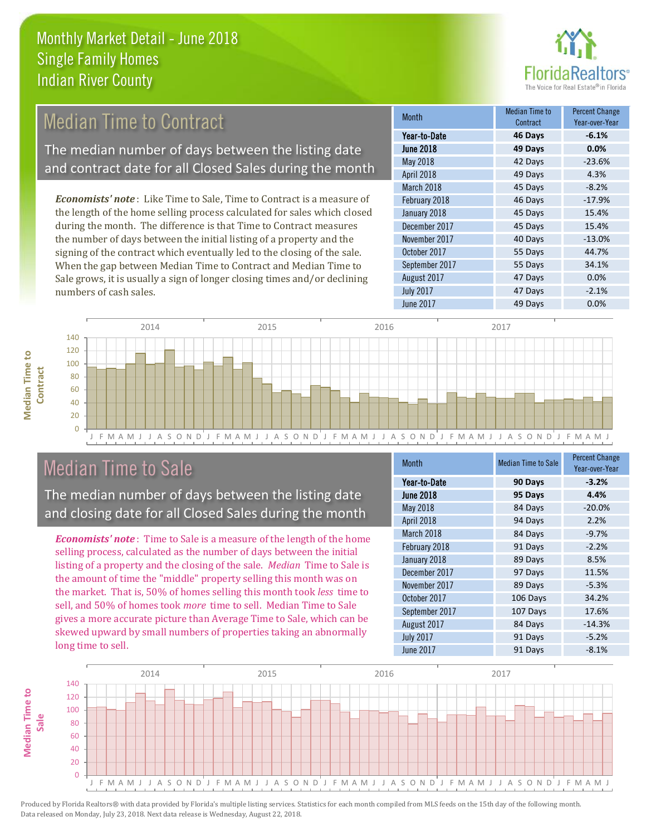

#### 49 Days 4.3% March 2018 **45 Days** -8.2% Month Month Median Time to Contract Percent Change June 2018 **49 Days 0.0%** Year-to-Date **46 Days -6.1%** May 2018 **42 Days** -23.6% April 2018 February 2018 46 Days -17.9% January 2018 45 Days 15.4% *Economists' note* : Like Time to Sale, Time to Contract is a measure of the length of the home selling process calculated for sales which closed Median Time to Contract The median number of days between the listing date and contract date for all Closed Sales during the month

during the month. The difference is that Time to Contract measures the number of days between the initial listing of a property and the signing of the contract which eventually led to the closing of the sale. When the gap between Median Time to Contract and Median Time to Sale grows, it is usually a sign of longer closing times and/or declining numbers of cash sales.

|                  | Contract | Year-over-Year |
|------------------|----------|----------------|
| Year-to-Date     | 46 Days  | $-6.1%$        |
| <b>June 2018</b> | 49 Days  | 0.0%           |
| May 2018         | 42 Days  | $-23.6%$       |
| April 2018       | 49 Days  | 4.3%           |
| March 2018       | 45 Days  | $-8.2%$        |
| February 2018    | 46 Days  | $-17.9%$       |
| January 2018     | 45 Days  | 15.4%          |
| December 2017    | 45 Days  | 15.4%          |
| November 2017    | 40 Days  | $-13.0%$       |
| October 2017     | 55 Days  | 44.7%          |
| September 2017   | 55 Days  | 34.1%          |
| August 2017      | 47 Days  | 0.0%           |
| <b>July 2017</b> | 47 Days  | $-2.1%$        |
| <b>June 2017</b> | 49 Days  | 0.0%           |



# Median Time to Sale

**Median Time to** 

**Median Time to** 

The median number of days between the listing date and closing date for all Closed Sales during the month

*Economists' note* : Time to Sale is a measure of the length of the home selling process, calculated as the number of days between the initial listing of a property and the closing of the sale. *Median* Time to Sale is the amount of time the "middle" property selling this month was on the market. That is, 50% of homes selling this month took *less* time to sell, and 50% of homes took *more* time to sell. Median Time to Sale gives a more accurate picture than Average Time to Sale, which can be skewed upward by small numbers of properties taking an abnormally long time to sell.

| Month            | <b>Median Time to Sale</b> | <b>Percent Change</b><br>Year-over-Year |
|------------------|----------------------------|-----------------------------------------|
| Year-to-Date     | 90 Days                    | $-3.2%$                                 |
| <b>June 2018</b> | 95 Days                    | 4.4%                                    |
| May 2018         | 84 Days                    | $-20.0%$                                |
| April 2018       | 94 Days                    | 2.2%                                    |
| March 2018       | 84 Days                    | $-9.7%$                                 |
| February 2018    | 91 Days                    | $-2.2%$                                 |
| January 2018     | 89 Days                    | 8.5%                                    |
| December 2017    | 97 Days                    | 11.5%                                   |
| November 2017    | 89 Days                    | $-5.3%$                                 |
| October 2017     | 106 Days                   | 34.2%                                   |
| September 2017   | 107 Days                   | 17.6%                                   |
| August 2017      | 84 Days                    | $-14.3%$                                |
| <b>July 2017</b> | 91 Days                    | $-5.2%$                                 |
| <b>June 2017</b> | 91 Days                    | $-8.1%$                                 |

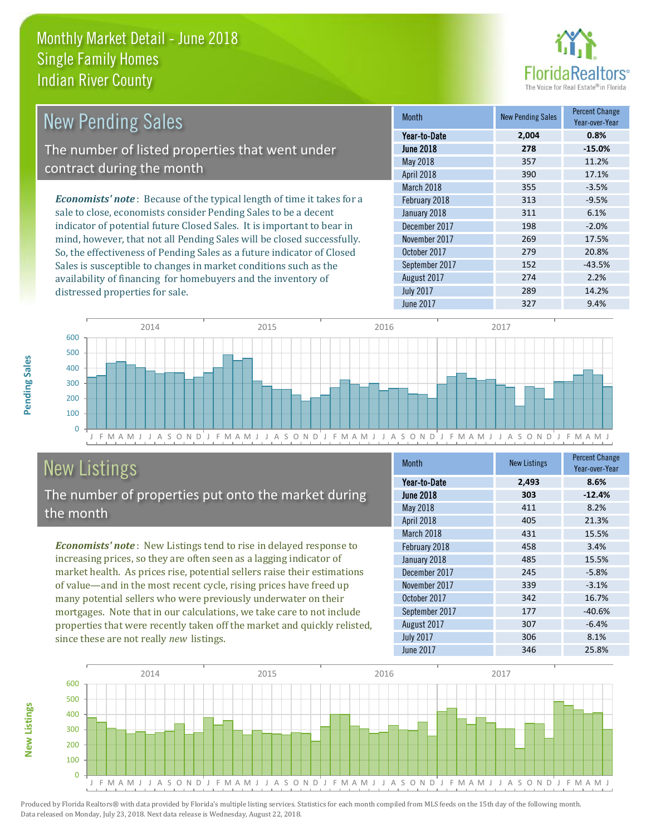distressed properties for sale.



| <b>New Pending Sales</b>                                                      | <b>Month</b>      | <b>New Pending Sales</b> | <b>Percent Change</b><br>Year-over-Year |
|-------------------------------------------------------------------------------|-------------------|--------------------------|-----------------------------------------|
|                                                                               | Year-to-Date      | 2,004                    | 0.8%                                    |
| The number of listed properties that went under                               | <b>June 2018</b>  | 278                      | $-15.0%$                                |
|                                                                               | May 2018          | 357                      | 11.2%                                   |
| contract during the month                                                     | <b>April 2018</b> | 390                      | 17.1%                                   |
|                                                                               | March 2018        | 355                      | $-3.5%$                                 |
| <b>Economists' note:</b> Because of the typical length of time it takes for a | February 2018     | 313                      | $-9.5%$                                 |
| sale to close, economists consider Pending Sales to be a decent               | January 2018      | 311                      | 6.1%                                    |
| indicator of potential future Closed Sales. It is important to bear in        | December 2017     | 198                      | $-2.0%$                                 |
| mind, however, that not all Pending Sales will be closed successfully.        | November 2017     | 269                      | 17.5%                                   |
| So, the effectiveness of Pending Sales as a future indicator of Closed        | October 2017      | 279                      | 20.8%                                   |
| Sales is susceptible to changes in market conditions such as the              | September 2017    | 152                      | $-43.5%$                                |



# New Listings

The number of properties put onto the market during the month

availability of financing for homebuyers and the inventory of

*Economists' note* : New Listings tend to rise in delayed response to increasing prices, so they are often seen as a lagging indicator of market health. As prices rise, potential sellers raise their estimations of value—and in the most recent cycle, rising prices have freed up many potential sellers who were previously underwater on their mortgages. Note that in our calculations, we take care to not include properties that were recently taken off the market and quickly relisted, since these are not really *new* listings.

| Month            | <b>New Listings</b> | <b>Percent Change</b><br>Year-over-Year |
|------------------|---------------------|-----------------------------------------|
| Year-to-Date     | 2,493               | 8.6%                                    |
| <b>June 2018</b> | 303                 | $-12.4%$                                |
| May 2018         | 411                 | 8.2%                                    |
| April 2018       | 405                 | 21.3%                                   |
| March 2018       | 431                 | 15.5%                                   |
| February 2018    | 458                 | 3.4%                                    |
| January 2018     | 485                 | 15.5%                                   |
| December 2017    | 245                 | $-5.8%$                                 |
| November 2017    | 339                 | $-3.1%$                                 |
| October 2017     | 342                 | 16.7%                                   |
| September 2017   | 177                 | $-40.6%$                                |
| August 2017      | 307                 | $-6.4%$                                 |
| <b>July 2017</b> | 306                 | 8.1%                                    |
| <b>June 2017</b> | 346                 | 25.8%                                   |

August 2017 274 274 2.2% July 2017 289 289 14.2%



Produced by Florida Realtors® with data provided by Florida's multiple listing services. Statistics for each month compiled from MLS feeds on the 15th day of the following month. Data released on Monday, July 23, 2018. Next data release is Wednesday, August 22, 2018.

**New Listings**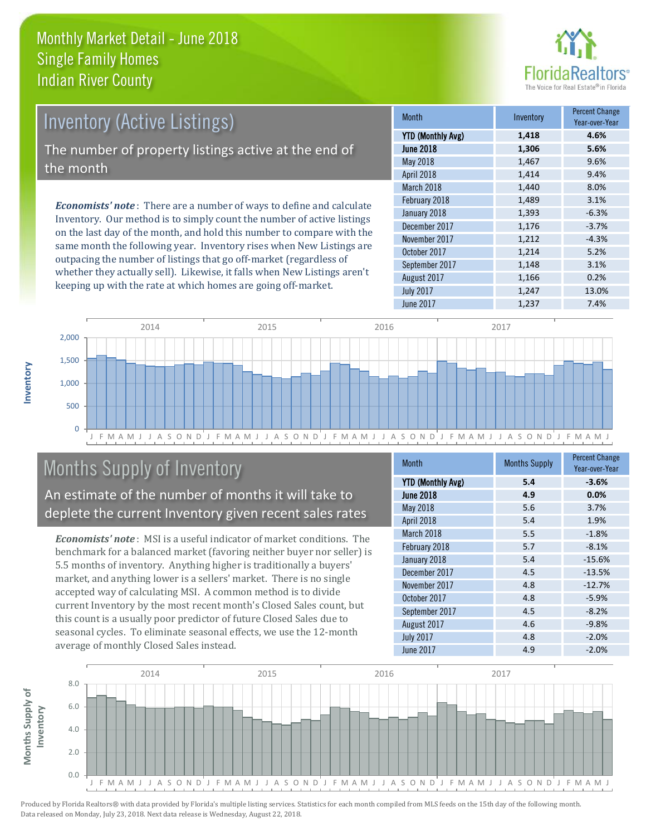

# Inventory (Active Listings) The number of property listings active at the end of the month

*Economists' note* : There are a number of ways to define and calculate Inventory. Our method is to simply count the number of active listings on the last day of the month, and hold this number to compare with the same month the following year. Inventory rises when New Listings are outpacing the number of listings that go off-market (regardless of whether they actually sell). Likewise, it falls when New Listings aren't keeping up with the rate at which homes are going off-market.

| <b>Month</b>             | Inventory | <b>Percent Change</b><br>Year-over-Year |
|--------------------------|-----------|-----------------------------------------|
| <b>YTD (Monthly Avg)</b> | 1,418     | 4.6%                                    |
| <b>June 2018</b>         | 1,306     | 5.6%                                    |
| May 2018                 | 1,467     | 9.6%                                    |
| April 2018               | 1,414     | 9.4%                                    |
| March 2018               | 1,440     | 8.0%                                    |
| February 2018            | 1,489     | 3.1%                                    |
| January 2018             | 1,393     | $-6.3%$                                 |
| December 2017            | 1,176     | $-3.7%$                                 |
| November 2017            | 1,212     | $-4.3%$                                 |
| October 2017             | 1,214     | 5.2%                                    |
| September 2017           | 1,148     | 3.1%                                    |
| August 2017              | 1,166     | 0.2%                                    |
| <b>July 2017</b>         | 1,247     | 13.0%                                   |
| <b>June 2017</b>         | 1,237     | 7.4%                                    |



# Months Supply of Inventory

An estimate of the number of months it will take to deplete the current Inventory given recent sales rates

*Economists' note* : MSI is a useful indicator of market conditions. The benchmark for a balanced market (favoring neither buyer nor seller) is 5.5 months of inventory. Anything higher is traditionally a buyers' market, and anything lower is a sellers' market. There is no single accepted way of calculating MSI. A common method is to divide current Inventory by the most recent month's Closed Sales count, but this count is a usually poor predictor of future Closed Sales due to seasonal cycles. To eliminate seasonal effects, we use the 12-month average of monthly Closed Sales instead.

| Month                    | <b>Months Supply</b> | <b>Percent Change</b><br>Year-over-Year |
|--------------------------|----------------------|-----------------------------------------|
| <b>YTD (Monthly Avg)</b> | 5.4                  | $-3.6%$                                 |
| <b>June 2018</b>         | 4.9                  | 0.0%                                    |
| May 2018                 | 5.6                  | 3.7%                                    |
| April 2018               | 5.4                  | 1.9%                                    |
| March 2018               | 5.5                  | $-1.8%$                                 |
| February 2018            | 5.7                  | $-8.1%$                                 |
| January 2018             | 5.4                  | $-15.6%$                                |
| December 2017            | 4.5                  | $-13.5%$                                |
| November 2017            | 4.8                  | $-12.7%$                                |
| October 2017             | 4.8                  | $-5.9%$                                 |
| September 2017           | 4.5                  | $-8.2%$                                 |
| August 2017              | 4.6                  | $-9.8%$                                 |
| <b>July 2017</b>         | 4.8                  | $-2.0%$                                 |
| <b>June 2017</b>         | 4.9                  | $-2.0%$                                 |

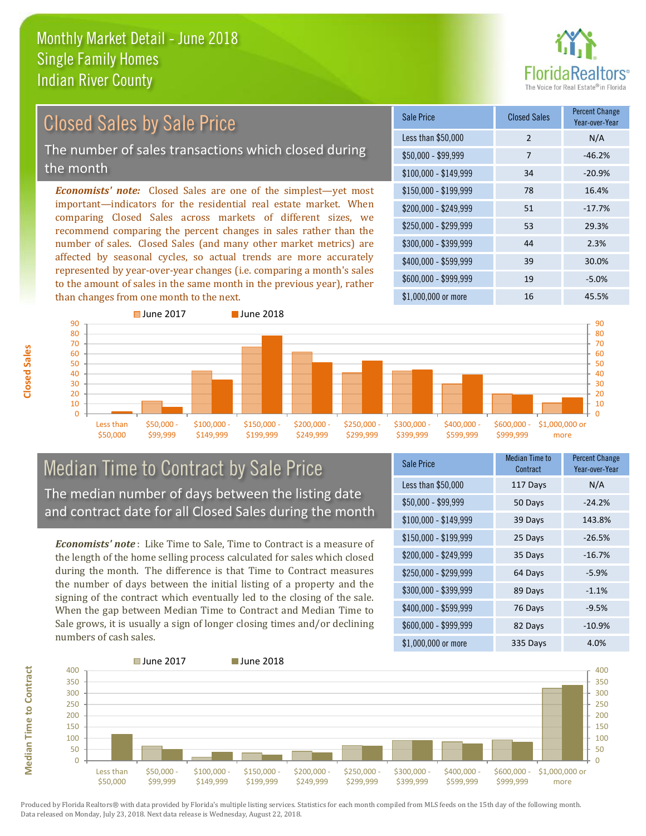

# Closed Sales by Sale Price

The number of sales transactions which closed during the month

*Economists' note:* Closed Sales are one of the simplest—yet most important—indicators for the residential real estate market. When comparing Closed Sales across markets of different sizes, we recommend comparing the percent changes in sales rather than the number of sales. Closed Sales (and many other market metrics) are affected by seasonal cycles, so actual trends are more accurately represented by year-over-year changes (i.e. comparing a month's sales to the amount of sales in the same month in the previous year), rather than changes from one month to the next.

| Sale Price            | <b>Closed Sales</b> | <b>Percent Change</b><br>Year-over-Year |
|-----------------------|---------------------|-----------------------------------------|
| Less than \$50,000    | 2                   | N/A                                     |
| \$50,000 - \$99,999   | 7                   | $-46.2%$                                |
| $$100,000 - $149,999$ | 34                  | $-20.9%$                                |
| \$150,000 - \$199,999 | 78                  | 16.4%                                   |
| \$200,000 - \$249,999 | 51                  | $-17.7%$                                |
| \$250,000 - \$299,999 | 53                  | 29.3%                                   |
| \$300,000 - \$399,999 | 44                  | 2.3%                                    |
| \$400,000 - \$599,999 | 39                  | 30.0%                                   |
| \$600,000 - \$999,999 | 19                  | $-5.0%$                                 |
| \$1,000,000 or more   | 16                  | 45.5%                                   |



### Median Time to Contract by Sale Price The median number of days between the listing date and contract date for all Closed Sales during the month

*Economists' note* : Like Time to Sale, Time to Contract is a measure of the length of the home selling process calculated for sales which closed during the month. The difference is that Time to Contract measures the number of days between the initial listing of a property and the signing of the contract which eventually led to the closing of the sale. When the gap between Median Time to Contract and Median Time to Sale grows, it is usually a sign of longer closing times and/or declining numbers of cash sales.

| <b>Sale Price</b>     | <b>Median Time to</b><br>Contract | <b>Percent Change</b><br>Year-over-Year |
|-----------------------|-----------------------------------|-----------------------------------------|
| Less than \$50,000    | 117 Days                          | N/A                                     |
| $$50,000 - $99,999$   | 50 Days                           | $-24.2%$                                |
| $$100,000 - $149,999$ | 39 Days                           | 143.8%                                  |
| \$150,000 - \$199,999 | 25 Days                           | $-26.5%$                                |
| \$200,000 - \$249,999 | 35 Days                           | $-16.7%$                                |
| \$250,000 - \$299,999 | 64 Days                           | $-5.9%$                                 |
| \$300,000 - \$399,999 | 89 Days                           | $-1.1%$                                 |
| \$400,000 - \$599,999 | 76 Days                           | $-9.5%$                                 |
| \$600,000 - \$999,999 | 82 Days                           | $-10.9%$                                |
| \$1,000,000 or more   | 335 Days                          | 4.0%                                    |



Produced by Florida Realtors® with data provided by Florida's multiple listing services. Statistics for each month compiled from MLS feeds on the 15th day of the following month. Data released on Monday, July 23, 2018. Next data release is Wednesday, August 22, 2018.

**Median Time to Contract**

**Median Time to Contract**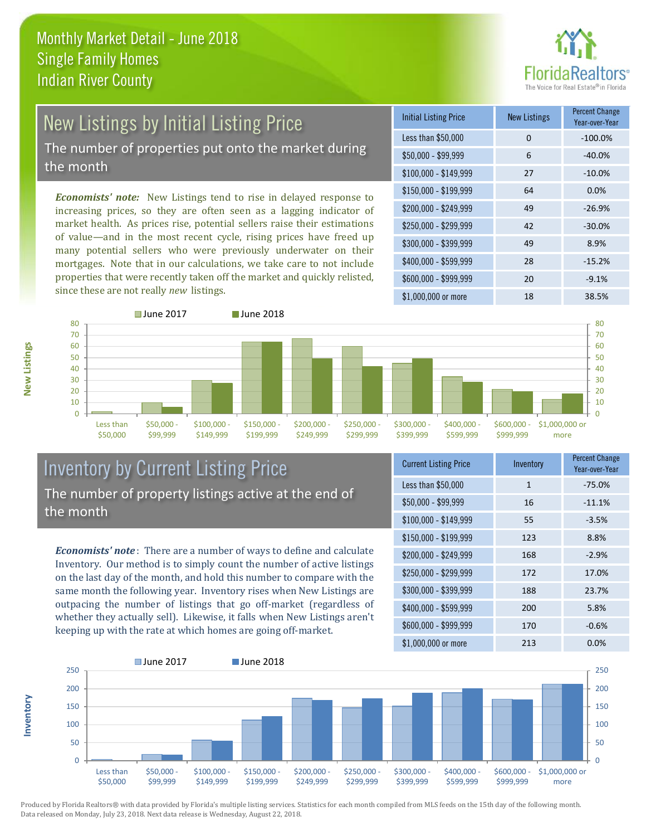

# New Listings by Initial Listing Price

The number of properties put onto the market during the month

*Economists' note:* New Listings tend to rise in delayed response to increasing prices, so they are often seen as a lagging indicator of market health. As prices rise, potential sellers raise their estimations of value—and in the most recent cycle, rising prices have freed up many potential sellers who were previously underwater on their mortgages. Note that in our calculations, we take care to not include properties that were recently taken off the market and quickly relisted, since these are not really *new* listings.





### Inventory by Current Listing Price The number of property listings active at the end of the month

*Economists' note* : There are a number of ways to define and calculate Inventory. Our method is to simply count the number of active listings on the last day of the month, and hold this number to compare with the same month the following year. Inventory rises when New Listings are outpacing the number of listings that go off-market (regardless of whether they actually sell). Likewise, it falls when New Listings aren't keeping up with the rate at which homes are going off-market.

| <b>Current Listing Price</b> | Inventory    | <b>Percent Change</b><br>Year-over-Year |
|------------------------------|--------------|-----------------------------------------|
| Less than \$50,000           | $\mathbf{1}$ | $-75.0%$                                |
| $$50,000 - $99,999$          | 16           | $-11.1%$                                |
| $$100,000 - $149,999$        | 55           | $-3.5%$                                 |
| $$150,000 - $199,999$        | 123          | 8.8%                                    |
| \$200,000 - \$249,999        | 168          | $-2.9%$                                 |
| \$250,000 - \$299,999        | 172          | 17.0%                                   |
| \$300,000 - \$399,999        | 188          | 23.7%                                   |
| \$400,000 - \$599,999        | 200          | 5.8%                                    |
| \$600,000 - \$999,999        | 170          | $-0.6%$                                 |
| \$1,000,000 or more          | 213          | $0.0\%$                                 |



Produced by Florida Realtors® with data provided by Florida's multiple listing services. Statistics for each month compiled from MLS feeds on the 15th day of the following month. Data released on Monday, July 23, 2018. Next data release is Wednesday, August 22, 2018.

**Inventory**